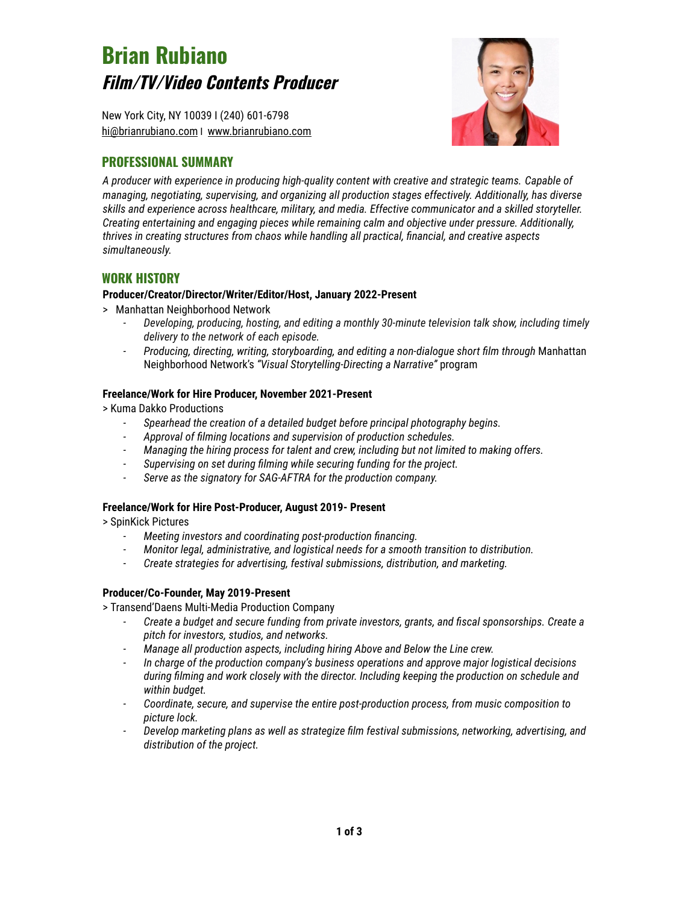# **Brian Rubiano Film/TV/Video Contents Producer**

New York City, NY 10039 I (240) 601-6798 [hi@brianrubiano.com](mailto:hi@brianrubiano.com) I [www.brianrubiano.com](http://www.brianrubiano.com/)

## **PROFESSIONAL SUMMARY**



*A producer with experience in producing high-quality content with creative and strategic teams. Capable of managing, negotiating, supervising, and organizing all production stages effectively. Additionally, has diverse skills and experience across healthcare, military, and media. Effective communicator and a skilled storyteller. Creating entertaining and engaging pieces while remaining calm and objective under pressure. Additionally, thrives in creating structures from chaos while handling all practical, financial, and creative aspects simultaneously.*

## **WORK HISTORY**

## **Producer/Creator/Director/Writer/Editor/Host, January 2022-Present**

- > Manhattan Neighborhood Network
	- *- Developing, producing, hosting, and editing a monthly 30-minute television talk show, including timely delivery to the network of each episode.*
	- *- Producing, directing, writing, storyboarding, and editing a non-dialogue short film through* Manhattan Neighborhood Network's *"Visual Storytelling-Directing a Narrative"* program

## **Freelance/Work for Hire Producer, November 2021-Present**

> Kuma Dakko Productions

- *- Spearhead the creation of a detailed budget before principal photography begins.*
- *- Approval of filming locations and supervision of production schedules.*
- *- Managing the hiring process for talent and crew, including but not limited to making offers.*
- *- Supervising on set during filming while securing funding for the project.*
- *- Serve as the signatory for SAG-AFTRA for the production company.*

## **Freelance/Work for Hire Post-Producer, August 2019- Present**

> SpinKick Pictures

- *- Meeting investors and coordinating post-production financing.*
- *- Monitor legal, administrative, and logistical needs for a smooth transition to distribution.*
- *- Create strategies for advertising, festival submissions, distribution, and marketing.*

## **Producer/Co-Founder, May 2019-Present**

> Transend'Daens Multi-Media Production Company

- *- Create a budget and secure funding from private investors, grants, and fiscal sponsorships. Create a pitch for investors, studios, and networks.*
- *- Manage all production aspects, including hiring Above and Below the Line crew.*
- *- In charge of the production company's business operations and approve major logistical decisions during filming and work closely with the director. Including keeping the production on schedule and within budget.*
- *- Coordinate, secure, and supervise the entire post-production process, from music composition to picture lock.*
- *- Develop marketing plans as well as strategize film festival submissions, networking, advertising, and distribution of the project.*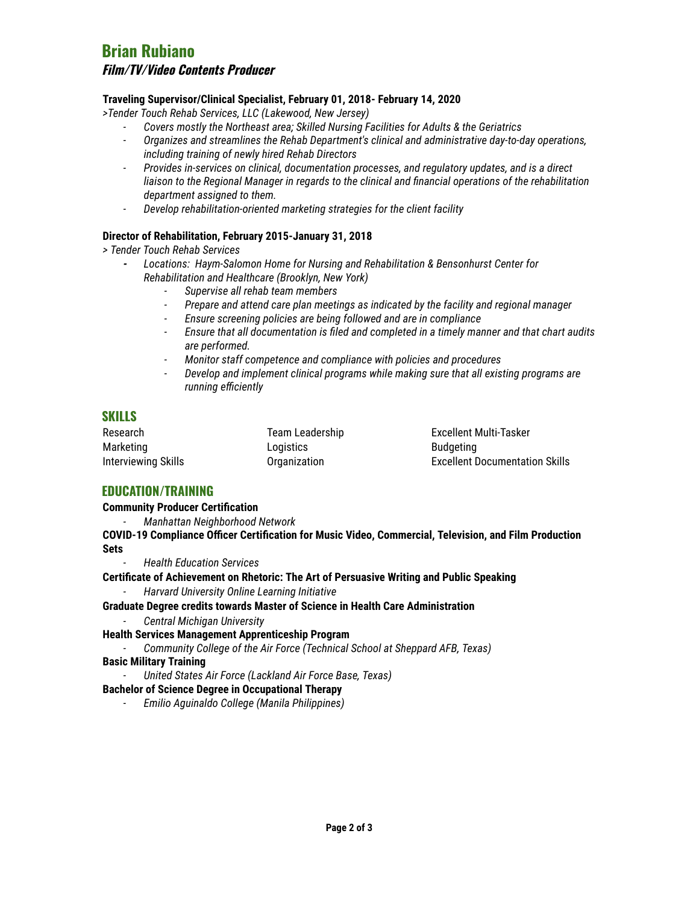# **Brian Rubiano**

## **Film/TV/Video Contents Producer**

## **Traveling Supervisor/Clinical Specialist, February 01, 2018- February 14, 2020**

*>Tender Touch Rehab Services, LLC (Lakewood, New Jersey)*

- *- Covers mostly the Northeast area; Skilled Nursing Facilities for Adults & the Geriatrics*
- *- Organizes and streamlines the Rehab Department's clinical and administrative day-to-day operations, including training of newly hired Rehab Directors*
- *- Provides in-services on clinical, documentation processes, and regulatory updates, and is a direct liaison to the Regional Manager in regards to the clinical and financial operations of the rehabilitation department assigned to them.*
- *- Develop rehabilitation-oriented marketing strategies for the client facility*

## **Director of Rehabilitation, February 2015-January 31, 2018**

*> Tender Touch Rehab Services*

- *- Locations: Haym-Salomon Home for Nursing and Rehabilitation & Bensonhurst Center for Rehabilitation and Healthcare (Brooklyn, New York)*
	- *- Supervise all rehab team members*
	- *- Prepare and attend care plan meetings as indicated by the facility and regional manager*
	- *- Ensure screening policies are being followed and are in compliance*
	- *- Ensure that all documentation is filed and completed in a timely manner and that chart audits are performed.*
	- *- Monitor staff competence and compliance with policies and procedures*
	- *- Develop and implement clinical programs while making sure that all existing programs are running efficiently*

## **SKILLS**

| Research            | Team Leadership | Excellent Multi-Tasker                |
|---------------------|-----------------|---------------------------------------|
| Marketing           | Logistics       | <b>Budgeting</b>                      |
| Interviewing Skills | Organization    | <b>Excellent Documentation Skills</b> |

## **EDUCATION/TRAINING**

## **Community Producer Certification**

*- Manhattan Neighborhood Network*

**COVID-19 Compliance Officer Certification for Music Video, Commercial, Television, and Film Production Sets**

*- Health Education Services*

**Certificate of Achievement on Rhetoric: The Art of Persuasive Writing and Public Speaking**

*- Harvard University Online Learning Initiative*

## **Graduate Degree credits towards Master of Science in Health Care Administration**

*- Central Michigan University*

## **Health Services Management Apprenticeship Program**

*- Community College of the Air Force (Technical School at Sheppard AFB, Texas)*

## **Basic Military Training**

*- United States Air Force (Lackland Air Force Base, Texas)*

## **Bachelor of Science Degree in Occupational Therapy**

*- Emilio Aguinaldo College (Manila Philippines)*